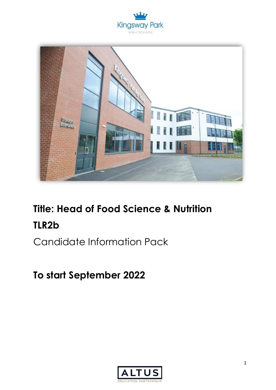



# **Title: Head of Food Science & Nutrition TLR2b**

Candidate Information Pack

**To start September 2022**

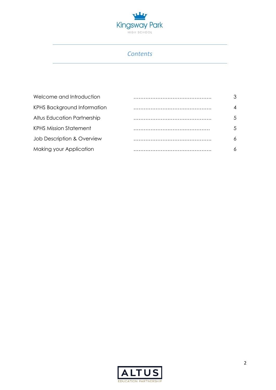

## *Contents*

| Welcome and Introduction           | . <b>.</b> | 3                 |
|------------------------------------|------------|-------------------|
| <b>KPHS Background Information</b> |            | 4                 |
| Altus Education Partnership        |            | .5                |
| <b>KPHS Mission Statement</b>      |            | $\mathcal{F}_{1}$ |
| Job Description & Overview         |            |                   |
| Making your Application            |            |                   |

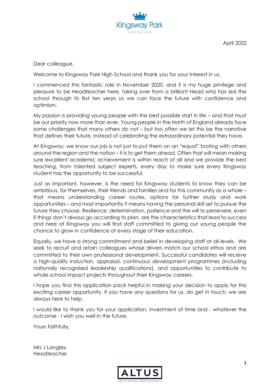

April 2022

Dear colleague,

Welcome to Kingsway Park High School and thank you for your interest in us.

I commenced this fantastic role in November 2020, and it is my huge privilege and pleasure to be Headteacher here, taking over from a brilliant Head who has led the school through its first ten years so we can face the future with confidence and optimism.

My passion is providing young people with the best possible start in life – and that must be our priority now more than ever. Young people in the North of England already face some challenges that many others do not – but too often we let this be the narrative that defines their future, instead of celebrating the extraordinary potential they have.

At Kingsway, we know our job is not just to put them on an "equal" footing with others around the region and the nation – it is to get them ahead. Often that will mean making sure excellent academic achievement is within reach of all and we provide the best teaching, from talented subject experts, every day to make sure every Kingsway student has the opportunity to be successful.

Just as important, however, is the need for Kingsway students to know they can be ambitious, for themselves, their friends and families and for this community as a whole – that means understanding career routes, options for further study and work opportunities – and most importantly it means having the personal skill set to pursue the future they choose. Resilience, determination, patience and the will to persevere, even if things don't always go according to plan, are the characteristics that lead to success and here at Kingsway you will find staff committed to giving our young people the chance to grow in confidence at every stage of their education.

Equally, we have a strong commitment and belief in developing staff at all levels. We seek to recruit and retain colleagues whose drivers match our school ethos and are committed to their own professional development. Successful candidates will receive a high-quality induction, appraisal, continuous development programmes (including nationally recognised leadership qualifications), and opportunities to contribute to whole school impact projects throughout their Kingsway careers.

I hope you find this application pack helpful in making your decision to apply for this exciting career opportunity. If you have any questions for us, do get in touch, we are always here to help.

I would like to thank you for your application, investment of time and - whatever the outcome - I wish you well in the future.

Yours faithfully,

Mrs J Langley Headteacher

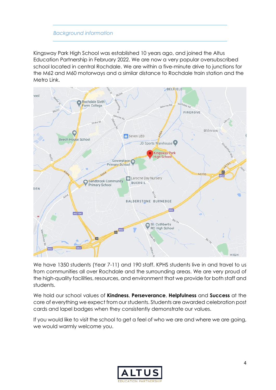### *Background information*

Kingsway Park High School was established 10 years ago, and joined the Altus Education Partnership in February 2022. We are now a very popular oversubscribed school located in central Rochdale. We are within a five-minute drive to junctions for the M62 and M60 motorways and a similar distance to Rochdale train station and the Metro Link.



We have 1350 students (Year 7-11) and 190 staff. KPHS students live in and travel to us from communities all over Rochdale and the surrounding areas. We are very proud of the high-quality facilities, resources, and environment that we provide for both staff and students.

We hold our school values of **Kindness**, **Perseverance**, **Helpfulness** and **Success** at the core of everything we expect from our students. Students are awarded celebration post cards and lapel badges when they consistently demonstrate our values.

If you would like to visit the school to get a feel of who we are and where we are going, we would warmly welcome you.

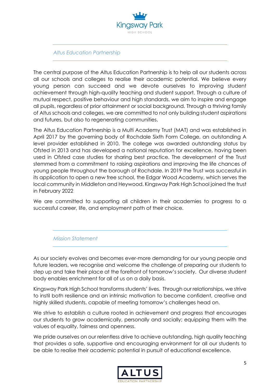

#### *Altus Education Partnership*

The central purpose of the Altus Education Partnership is to help all our students across all our schools and colleges to realise their academic potential. We believe every young person can succeed and we devote ourselves to improving student achievement through high-quality teaching and student support. Through a culture of mutual respect, positive behaviour and high standards, we aim to inspire and engage all pupils, regardless of prior attainment or social background. Through a thriving family of Altus schools and colleges, we are committed to not only building student aspirations and futures, but also to regenerating communities.

The Altus Education Partnership is a Multi Academy Trust (MAT) and was established in April 2017 by the governing body of Rochdale Sixth Form College, an outstanding A level provider established in 2010. The college was awarded outstanding status by Ofsted in 2013 and has developed a national reputation for excellence, having been used in Ofsted case studies for sharing best practice. The development of the Trust stemmed from a commitment to raising aspirations and improving the life chances of young people throughout the borough of Rochdale. In 2019 the Trust was successful in its application to open a new free school, the Edgar Wood Academy, which serves the local community in Middleton and Heywood. Kingsway Park High School joined the trust in February 2022

We are committed to supporting all children in their academies to progress to a successful career, life, and employment path of their choice.

*Mission Statement*

As our society evolves and becomes ever-more demanding for our young people and future leaders, we recognise and welcome the challenge of preparing our students to step up and take their place at the forefront of tomorrow's society. Our diverse student body enables enrichment for all of us on a daily basis.

Kingsway Park High School transforms students' lives. Through our relationships, we strive to instil both resilience and an intrinsic motivation to become confident, creative and highly skilled students, capable of meeting tomorrow's challenges head on.

We strive to establish a culture rooted in achievement and progress that encourages our students to grow academically, personally and socially; equipping them with the values of equality, fairness and openness.

We pride ourselves on our relentless drive to achieve outstanding, high quality teaching that provides a safe, supportive and encouraging environment for all our students to be able to realise their academic potential in pursuit of educational excellence.